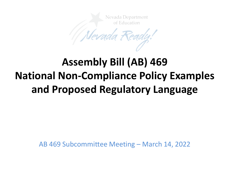

# **Assembly Bill (AB) 469 National Non-Compliance Policy Examples and Proposed Regulatory Language**

AB 469 Subcommittee Meeting – March 14, 2022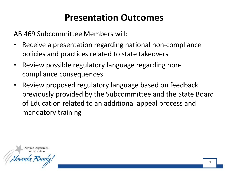# **Presentation Outcomes**

AB 469 Subcommittee Members will:

- Receive a presentation regarding national non-compliance policies and practices related to state takeovers
- Review possible regulatory language regarding noncompliance consequences
- Review proposed regulatory language based on feedback previously provided by the Subcommittee and the State Board of Education related to an additional appeal process and mandatory training

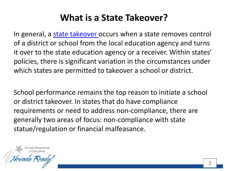# **What is a State Takeover?**

In general, a [state takeover](https://www.ecs.org/wp-content/uploads/12139.pdf) occurs when a state removes control of a district or school from the local education agency and turns it over to the state education agency or a receiver. Within states' policies, there is significant variation in the circumstances under which states are permitted to takeover a school or district.

School performance remains the top reason to initiate a school or district takeover. In states that do have compliance requirements or need to address non-compliance, there are generally two areas of focus: non-compliance with state statue/regulation or financial malfeasance.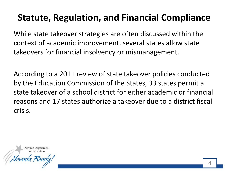# **Statute, Regulation, and Financial Compliance**

While state takeover strategies are often discussed within the context of academic improvement, several states allow state takeovers for financial insolvency or mismanagement.

According to a 2011 review of state takeover policies conducted by the Education Commission of the States, 33 states permit a state takeover of a school district for either academic or financial reasons and 17 states authorize a takeover due to a district fiscal crisis.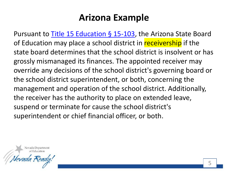#### **Arizona Example**

Pursuant to [Title 15 Education §](https://codes.findlaw.com/az/title-15-education/az-rev-st-sect-15-103.html) 15-103, the Arizona State Board of Education may place a school district in receivership if the state board determines that the school district is insolvent or has grossly mismanaged its finances. The appointed receiver may override any decisions of the school district's governing board or the school district superintendent, or both, concerning the management and operation of the school district. Additionally, the receiver has the authority to place on extended leave, suspend or terminate for cause the school district's superintendent or chief financial officer, or both.

Nevada Department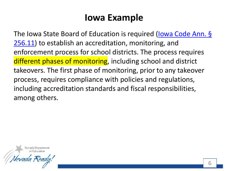### **Iowa Example**

[The Iowa State Board of Education is required \(Iowa Code Ann. §](https://www.legis.iowa.gov/docs/code/256.11.pdf) 256.11) to establish an accreditation, monitoring, and enforcement process for school districts. The process requires different phases of monitoring, including school and district takeovers. The first phase of monitoring, prior to any takeover process, requires compliance with policies and regulations, including accreditation standards and fiscal responsibilities, among others.

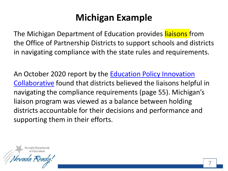# **Michigan Example**

The Michigan Department of Education provides liaisons from the Office of Partnership Districts to support schools and districts in navigating compliance with the state rules and requirements.

An October 2020 report by the **Education Policy Innovation** Collaborative found that districts believed the liaisons helpful in navigating the compliance requirements (page 55). Michigan's liaison program was viewed as a balance between holding districts accountable for their decisions and performance and supporting them in their efforts.

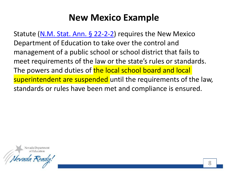### **New Mexico Example**

Statute [\(N.M. Stat. Ann. §](https://nmonesource.com/nmos/nmsa/en/item/4368/index.do#!fragment/zoupio-_Toc92125453/BQCwhgziBcwMYgK4DsDWszIQewE4BUBTADwBdoAvbRABwEtsBaAfX2zgE4AmARi4FYALPwDMASgA0ybKUIQAiokK4AntADk6iREJhcCRcrWbtu-SADKeUgCE1AJQCiAGUcA1AIIA5AMKOJpGAARtCk7GJiQA) 22-2-2) requires the New Mexico Department of Education to take over the control and management of a public school or school district that fails to meet requirements of the law or the state's rules or standards. The powers and duties of the local school board and local superintendent are suspended until the requirements of the law, standards or rules have been met and compliance is ensured.

Vevada Department of Education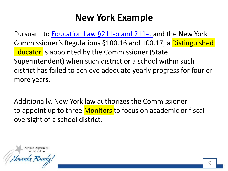# **New York Example**

Pursuant to [Education Law §211-b and 211-c a](https://codes.findlaw.com/ny/education-law/edn-sect-211-c.html)nd the New York Commissioner's Regulations §100.16 and 100.17, a Distinguished Educator is appointed by the Commissioner (State Superintendent) when such district or a school within such district has failed to achieve adequate yearly progress for four or more years.

Additionally, New York law authorizes the Commissioner to appoint up to three Monitors to focus on academic or fiscal oversight of a school district.

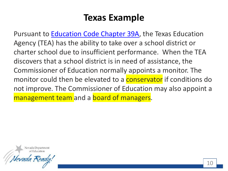#### **Texas Example**

Pursuant to [Education Code Chapter 39A,](https://statutes.capitol.texas.gov/Docs/ED/htm/ED.39A.htm) the Texas Education Agency (TEA) has the ability to take over a school district or charter school due to insufficient performance. When the TEA discovers that a school district is in need of assistance, the Commissioner of Education normally appoints a monitor. The monitor could then be elevated to a **conservator** if conditions do not improve. The Commissioner of Education may also appoint a management team and a board of managers.

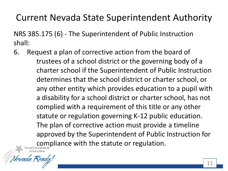# Current Nevada State Superintendent Authority

NRS 385.175 (6) - The Superintendent of Public Instruction shall:

6. Request a plan of corrective action from the board of trustees of a school district or the governing body of a charter school if the Superintendent of Public Instruction determines that the school district or charter school, or any other entity which provides education to a pupil with a disability for a school district or charter school, has not complied with a requirement of this title or any other statute or regulation governing K-12 public education. The plan of corrective action must provide a timeline approved by the Superintendent of Public Instruction for Compliance with the statute or regulation.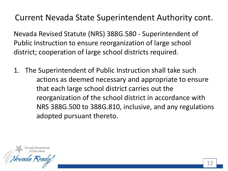#### Current Nevada State Superintendent Authority cont.

Nevada Revised Statute (NRS) 388G.580 - Superintendent of Public Instruction to ensure reorganization of large school district; cooperation of large school districts required.

1. The Superintendent of Public Instruction shall take such actions as deemed necessary and appropriate to ensure that each large school district carries out the reorganization of the school district in accordance with NRS 388G.500 to 388G.810, inclusive, and any regulations adopted pursuant thereto.

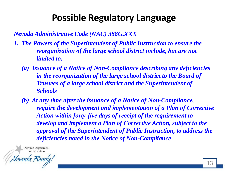# **Possible Regulatory Language**

*Nevada Administrative Code (NAC) 388G.XXX*

- *1. The Powers of the Superintendent of Public Instruction to ensure the reorganization of the large school district include, but are not limited to:*
	- *(a) Issuance of a Notice of Non-Compliance describing any deficiencies in the reorganization of the large school district to the Board of Trustees of a large school district and the Superintendent of Schools*
	- *(b) At any time after the issuance of a Notice of Non-Compliance, require the development and implementation of a Plan of Corrective Action within forty-five days of receipt of the requirement to develop and implement a Plan of Corrective Action, subject to the approval of the Superintendent of Public Instruction, to address the deficiencies noted in the Notice of Non-Compliance*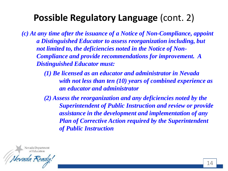# **Possible Regulatory Language** (cont. 2)

*(c) At any time after the issuance of a Notice of Non-Compliance, appoint a Distinguished Educator to assess reorganization including, but not limited to, the deficiencies noted in the Notice of Non-Compliance and provide recommendations for improvement. A Distinguished Educator must:*

> *(1) Be licensed as an educator and administrator in Nevada with not less than ten (10) years of combined experience as an educator and administrator*

> *(2) Assess the reorganization and any deficiencies noted by the Superintendent of Public Instruction and review or provide assistance in the development and implementation of any Plan of Corrective Action required by the Superintendent of Public Instruction*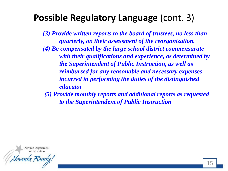### **Possible Regulatory Language** (cont. 3)

*(3) Provide written reports to the board of trustees, no less than quarterly, on their assessment of the reorganization. (4) Be compensated by the large school district commensurate with their qualifications and experience, as determined by the Superintendent of Public Instruction, as well as reimbursed for any reasonable and necessary expenses incurred in performing the duties of the distinguished educator*

*(5) Provide monthly reports and additional reports as requested to the Superintendent of Public Instruction*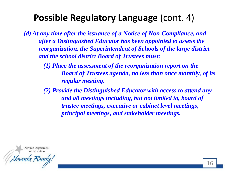# **Possible Regulatory Language** (cont. 4)

*(d) At any time after the issuance of a Notice of Non-Compliance, and after a Distinguished Educator has been appointed to assess the reorganization, the Superintendent of Schools of the large district and the school district Board of Trustees must:*

> *(1) Place the assessment of the reorganization report on the Board of Trustees agenda, no less than once monthly, of its regular meeting.*

*(2) Provide the Distinguished Educator with access to attend any and all meetings including, but not limited to, board of trustee meetings, executive or cabinet level meetings, principal meetings, and stakeholder meetings.*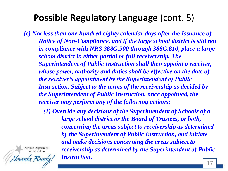# **Possible Regulatory Language** (cont. 5)

*(e) Not less than one hundred eighty calendar days after the Issuance of Notice of Non-Compliance, and if the large school district is still not in compliance with NRS 388G.500 through 388G.810, place a large school district in either partial or full receivership. The Superintendent of Public Instruction shall then appoint a receiver, whose power, authority and duties shall be effective on the date of the receiver's appointment by the Superintendent of Public Instruction. Subject to the terms of the receivership as decided by the Superintendent of Public Instruction, once appointed, the receiver may perform any of the following actions:*

*(1) Override any decisions of the Superintendent of Schools of a large school district or the Board of Trustees, or both, concerning the areas subject to receivership as determined by the Superintendent of Public Instruction, and initiate and make decisions concerning the areas subject to*  Nevada Department *receivership as determined by the Superintendent of Public Instruction.*

of Education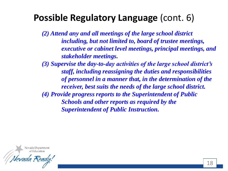# **Possible Regulatory Language** (cont. 6)

*(2) Attend any and all meetings of the large school district including, but not limited to, board of trustee meetings, executive or cabinet level meetings, principal meetings, and stakeholder meetings.*

*(3) Supervise the day-to-day activities of the large school district's staff, including reassigning the duties and responsibilities of personnel in a manner that, in the determination of the receiver, best suits the needs of the large school district. (4) Provide progress reports to the Superintendent of Public Schools and other reports as required by the Superintendent of Public Instruction.*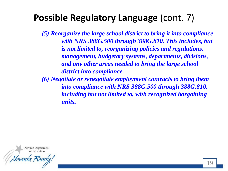# **Possible Regulatory Language** (cont. 7)

*(5) Reorganize the large school district to bring it into compliance with NRS 388G.500 through 388G.810. This includes, but is not limited to, reorganizing policies and regulations, management, budgetary systems, departments, divisions, and any other areas needed to bring the large school district into compliance.*

*(6) Negotiate or renegotiate employment contracts to bring them into compliance with NRS 388G.500 through 388G.810, including but not limited to, with recognized bargaining units.*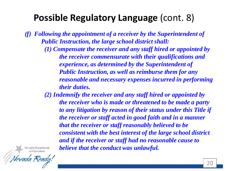# **Possible Regulatory Language** (cont. 8)

*(f) Following the appointment of a receiver by the Superintendent of Public Instruction, the large school district shall:*

> *(1) Compensate the receiver and any staff hired or appointed by the receiver commensurate with their qualifications and experience, as determined by the Superintendent of Public Instruction, as well as reimburse them for any reasonable and necessary expenses incurred in performing their duties.*

> *(2) Indemnify the receiver and any staff hired or appointed by the receiver who is made or threatened to be made a party to any litigation by reason of their status under this Title if the receiver or staff acted in good faith and in a manner that the receiver or staff reasonably believed to be consistent with the best interest of the large school district and if the receiver or staff had no reasonable cause to believe that the conduct was unlawful.*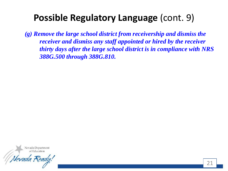# **Possible Regulatory Language** (cont. 9)

*(g) Remove the large school district from receivership and dismiss the receiver and dismiss any staff appointed or hired by the receiver thirty days after the large school district is in compliance with NRS 388G.500 through 388G.810.*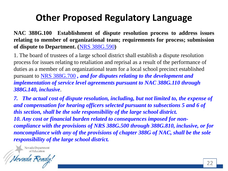# **Other Proposed Regulatory Language**

**NAC 388G.100 Establishment of dispute resolution process to address issues relating to member of organizational team; requirements for process; submission of dispute to Department. (**NRS [388G.590](https://www.leg.state.nv.us/NRS/NRS-388G.html#NRS388GSec590)**)**

1. The board of trustees of a large school district shall establish a dispute resolution process for issues relating to retaliation and reprisal as a result of the performance of duties as a member of an organizational team for a local school precinct established pursuant to [NRS 388G.700](https://www.leg.state.nv.us/NRS/NRS-388G.html#NRS388GSec700) *, and for disputes relating to the development and implementation of service level agreements pursuant to NAC 388G.110 through 388G.140, inclusive*.

*7. The actual cost of dispute resolution, including, but not limited to, the expense of and compensation for hearing officers selected pursuant to subsections 5 and 6 of this section, shall be the sole responsibility of the large school district. 10. Any cost or financial burden related to consequences imposed for noncompliance with the provisions of NRS 388G.500 through 388G.810, inclusive, or for noncompliance with any of the provisions of chapter 388G of NAC, shall be the sole responsibility of the large school district.*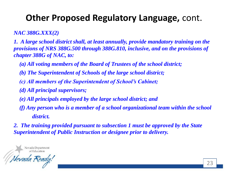#### **Other Proposed Regulatory Language,** cont.

*NAC 388G.XXX(2)*

*1. A large school district shall, at least annually, provide mandatory training on the provisions of NRS 388G.500 through 388G.810, inclusive, and on the provisions of chapter 388G of NAC, to:*

- *(a) All voting members of the Board of Trustees of the school district;*
- *(b) The Superintendent of Schools of the large school district;*
- *(c) All members of the Superintendent of School's Cabinet;*
- *(d) All principal supervisors;*
- *(e) All principals employed by the large school district; and*
- *(f) Any person who is a member of a school organizational team within the school district.*

*2. The training provided pursuant to subsection 1 must be approved by the State Superintendent of Public Instruction or designee prior to delivery.*